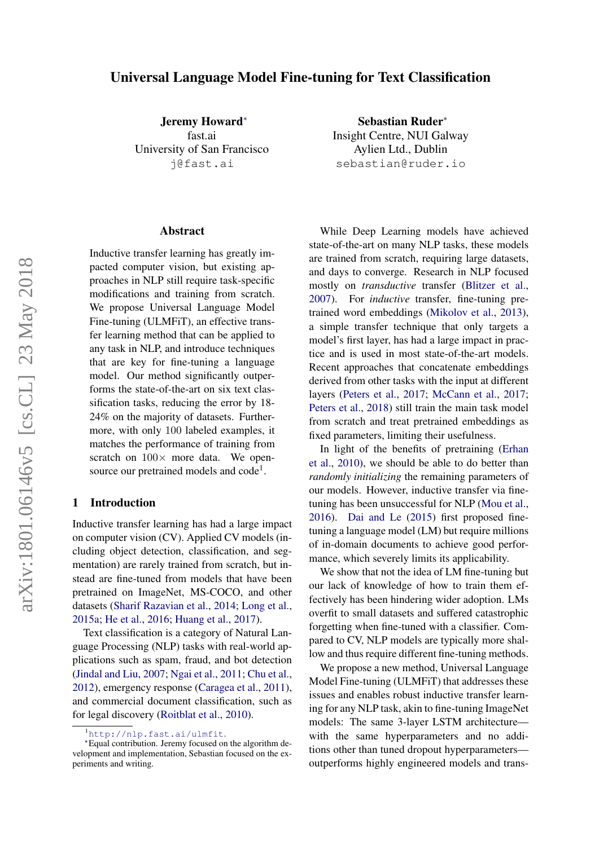# Universal Language Model Fine-tuning for Text Classification

Jeremy Howard<sup>∗</sup> fast.ai University of San Francisco j@fast.ai

#### Abstract

Inductive transfer learning has greatly impacted computer vision, but existing approaches in NLP still require task-specific modifications and training from scratch. We propose Universal Language Model Fine-tuning (ULMFiT), an effective transfer learning method that can be applied to any task in NLP, and introduce techniques that are key for fine-tuning a language model. Our method significantly outperforms the state-of-the-art on six text classification tasks, reducing the error by 18- 24% on the majority of datasets. Furthermore, with only 100 labeled examples, it matches the performance of training from scratch on  $100\times$  more data. We open-source our pretrained models and code<sup>[1](#page-0-0)</sup>.

# 1 Introduction

Inductive transfer learning has had a large impact on computer vision (CV). Applied CV models (including object detection, classification, and segmentation) are rarely trained from scratch, but instead are fine-tuned from models that have been pretrained on ImageNet, MS-COCO, and other datasets [\(Sharif Razavian et al.,](#page-10-0) [2014;](#page-10-0) [Long et al.,](#page-10-1) [2015a;](#page-10-1) [He et al.,](#page-9-0) [2016;](#page-9-0) [Huang et al.,](#page-9-1) [2017\)](#page-9-1).

Text classification is a category of Natural Language Processing (NLP) tasks with real-world applications such as spam, fraud, and bot detection [\(Jindal and Liu,](#page-9-2) [2007;](#page-9-2) [Ngai et al.,](#page-10-2) [2011;](#page-10-2) [Chu et al.,](#page-9-3) [2012\)](#page-9-3), emergency response [\(Caragea et al.,](#page-9-4) [2011\)](#page-9-4), and commercial document classification, such as for legal discovery [\(Roitblat et al.,](#page-10-3) [2010\)](#page-10-3).

Sebastian Ruder<sup>∗</sup> Insight Centre, NUI Galway Aylien Ltd., Dublin sebastian@ruder.io

While Deep Learning models have achieved state-of-the-art on many NLP tasks, these models are trained from scratch, requiring large datasets, and days to converge. Research in NLP focused mostly on *transductive* transfer [\(Blitzer et al.,](#page-9-5) [2007\)](#page-9-5). For *inductive* transfer, fine-tuning pretrained word embeddings [\(Mikolov et al.,](#page-10-4) [2013\)](#page-10-4), a simple transfer technique that only targets a model's first layer, has had a large impact in practice and is used in most state-of-the-art models. Recent approaches that concatenate embeddings derived from other tasks with the input at different layers [\(Peters et al.,](#page-10-5) [2017;](#page-10-5) [McCann et al.,](#page-10-6) [2017;](#page-10-6) [Peters et al.,](#page-10-7) [2018\)](#page-10-7) still train the main task model from scratch and treat pretrained embeddings as fixed parameters, limiting their usefulness.

In light of the benefits of pretraining [\(Erhan](#page-9-6) [et al.,](#page-9-6) [2010\)](#page-9-6), we should be able to do better than *randomly initializing* the remaining parameters of our models. However, inductive transfer via finetuning has been unsuccessful for NLP [\(Mou et al.,](#page-10-8) [2016\)](#page-10-8). [Dai and Le](#page-9-7) [\(2015\)](#page-9-7) first proposed finetuning a language model (LM) but require millions of in-domain documents to achieve good performance, which severely limits its applicability.

We show that not the idea of LM fine-tuning but our lack of knowledge of how to train them effectively has been hindering wider adoption. LMs overfit to small datasets and suffered catastrophic forgetting when fine-tuned with a classifier. Compared to CV, NLP models are typically more shallow and thus require different fine-tuning methods.

We propose a new method, Universal Language Model Fine-tuning (ULMFiT) that addresses these issues and enables robust inductive transfer learning for any NLP task, akin to fine-tuning ImageNet models: The same 3-layer LSTM architecture with the same hyperparameters and no additions other than tuned dropout hyperparameters outperforms highly engineered models and trans-

<span id="page-0-0"></span><sup>1</sup><http://nlp.fast.ai/ulmfit>.

<sup>?</sup>Equal contribution. Jeremy focused on the algorithm development and implementation, Sebastian focused on the experiments and writing.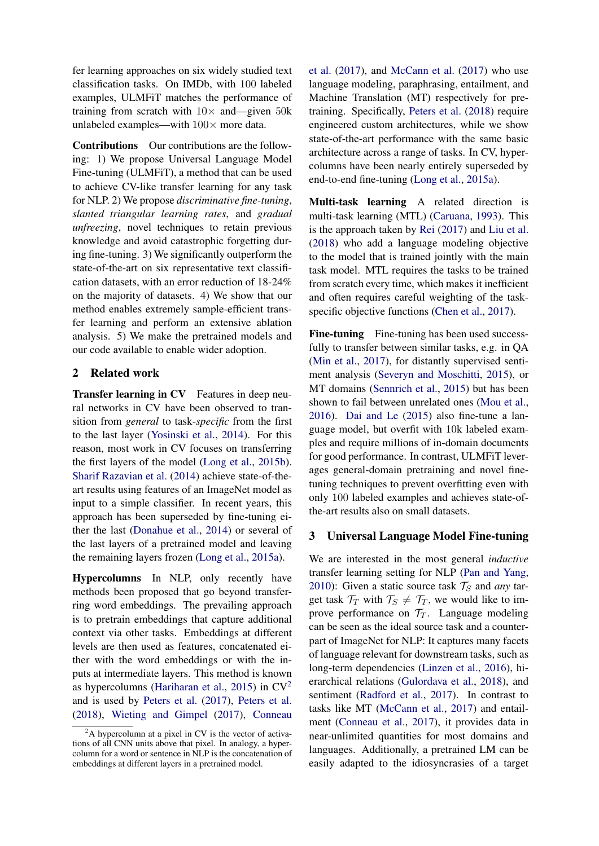fer learning approaches on six widely studied text classification tasks. On IMDb, with 100 labeled examples, ULMFiT matches the performance of training from scratch with  $10\times$  and—given 50k unlabeled examples—with  $100 \times$  more data.

Contributions Our contributions are the following: 1) We propose Universal Language Model Fine-tuning (ULMFiT), a method that can be used to achieve CV-like transfer learning for any task for NLP. 2) We propose *discriminative fine-tuning*, *slanted triangular learning rates*, and *gradual unfreezing*, novel techniques to retain previous knowledge and avoid catastrophic forgetting during fine-tuning. 3) We significantly outperform the state-of-the-art on six representative text classification datasets, with an error reduction of 18-24% on the majority of datasets. 4) We show that our method enables extremely sample-efficient transfer learning and perform an extensive ablation analysis. 5) We make the pretrained models and our code available to enable wider adoption.

# 2 Related work

Transfer learning in CV Features in deep neural networks in CV have been observed to transition from *general* to task-*specific* from the first to the last layer [\(Yosinski et al.,](#page-11-0) [2014\)](#page-11-0). For this reason, most work in CV focuses on transferring the first layers of the model [\(Long et al.,](#page-10-9) [2015b\)](#page-10-9). [Sharif Razavian et al.](#page-10-0) [\(2014\)](#page-10-0) achieve state-of-theart results using features of an ImageNet model as input to a simple classifier. In recent years, this approach has been superseded by fine-tuning either the last [\(Donahue et al.,](#page-9-8) [2014\)](#page-9-8) or several of the last layers of a pretrained model and leaving the remaining layers frozen [\(Long et al.,](#page-10-1) [2015a\)](#page-10-1).

Hypercolumns In NLP, only recently have methods been proposed that go beyond transferring word embeddings. The prevailing approach is to pretrain embeddings that capture additional context via other tasks. Embeddings at different levels are then used as features, concatenated either with the word embeddings or with the inputs at intermediate layers. This method is known as hypercolumns [\(Hariharan et al.,](#page-9-9) [2015\)](#page-9-9) in  $CV^2$  $CV^2$ and is used by [Peters et al.](#page-10-5) [\(2017\)](#page-10-5), [Peters et al.](#page-10-7) [\(2018\)](#page-10-7), [Wieting and Gimpel](#page-11-1) [\(2017\)](#page-11-1), [Conneau](#page-9-10)

[et al.](#page-9-10) [\(2017\)](#page-9-10), and [McCann et al.](#page-10-6) [\(2017\)](#page-10-6) who use language modeling, paraphrasing, entailment, and Machine Translation (MT) respectively for pretraining. Specifically, [Peters et al.](#page-10-7) [\(2018\)](#page-10-7) require engineered custom architectures, while we show state-of-the-art performance with the same basic architecture across a range of tasks. In CV, hypercolumns have been nearly entirely superseded by end-to-end fine-tuning [\(Long et al.,](#page-10-1) [2015a\)](#page-10-1).

Multi-task learning A related direction is multi-task learning (MTL) [\(Caruana,](#page-9-11) [1993\)](#page-9-11). This is the approach taken by [Rei](#page-10-10) [\(2017\)](#page-10-10) and [Liu et al.](#page-9-12) [\(2018\)](#page-9-12) who add a language modeling objective to the model that is trained jointly with the main task model. MTL requires the tasks to be trained from scratch every time, which makes it inefficient and often requires careful weighting of the task-specific objective functions [\(Chen et al.,](#page-9-13) [2017\)](#page-9-13).

Fine-tuning Fine-tuning has been used successfully to transfer between similar tasks, e.g. in QA [\(Min et al.,](#page-10-11) [2017\)](#page-10-11), for distantly supervised sentiment analysis [\(Severyn and Moschitti,](#page-10-12) [2015\)](#page-10-12), or MT domains [\(Sennrich et al.,](#page-10-13) [2015\)](#page-10-13) but has been shown to fail between unrelated ones [\(Mou et al.,](#page-10-8) [2016\)](#page-10-8). [Dai and Le](#page-9-7) [\(2015\)](#page-9-7) also fine-tune a language model, but overfit with 10k labeled examples and require millions of in-domain documents for good performance. In contrast, ULMFiT leverages general-domain pretraining and novel finetuning techniques to prevent overfitting even with only 100 labeled examples and achieves state-ofthe-art results also on small datasets.

# 3 Universal Language Model Fine-tuning

We are interested in the most general *inductive* transfer learning setting for NLP [\(Pan and Yang,](#page-10-14) [2010\)](#page-10-14): Given a static source task  $T_S$  and *any* target task  $\mathcal{T}_T$  with  $\mathcal{T}_S \neq \mathcal{T}_T$ , we would like to improve performance on  $\mathcal{T}_T$ . Language modeling can be seen as the ideal source task and a counterpart of ImageNet for NLP: It captures many facets of language relevant for downstream tasks, such as long-term dependencies [\(Linzen et al.,](#page-9-14) [2016\)](#page-9-14), hierarchical relations [\(Gulordava et al.,](#page-9-15) [2018\)](#page-9-15), and sentiment [\(Radford et al.,](#page-10-15) [2017\)](#page-10-15). In contrast to tasks like MT [\(McCann et al.,](#page-10-6) [2017\)](#page-10-6) and entailment [\(Conneau et al.,](#page-9-10) [2017\)](#page-9-10), it provides data in near-unlimited quantities for most domains and languages. Additionally, a pretrained LM can be easily adapted to the idiosyncrasies of a target

<span id="page-1-0"></span> $2A$  hypercolumn at a pixel in CV is the vector of activa[tions of all CNN units above that pixel. In analogy, a hyper](#page-9-10)[column for a word or sentence in NLP is the concatenation of](#page-9-10) [embeddings at different layers in a pretrained model.](#page-9-10)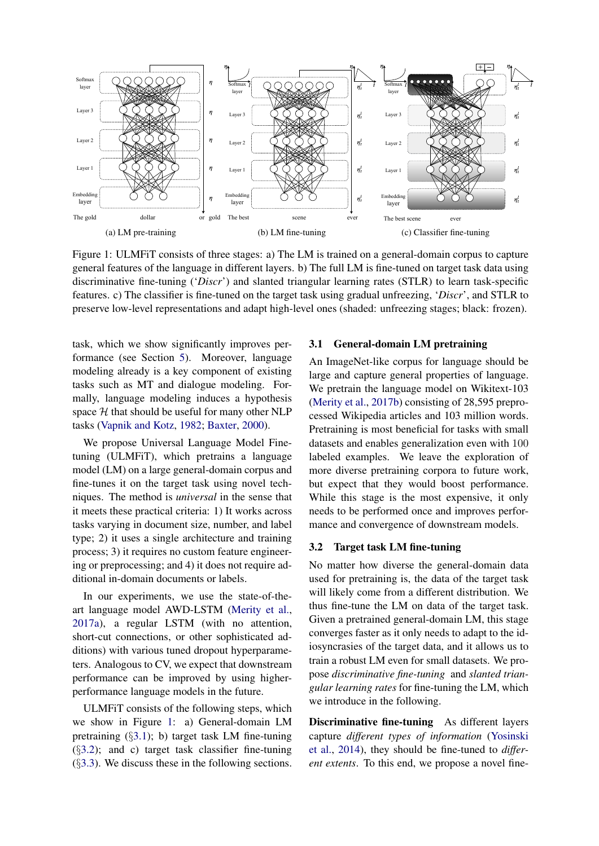<span id="page-2-0"></span>

Figure 1: ULMFiT consists of three stages: a) The LM is trained on a general-domain corpus to capture general features of the language in different layers. b) The full LM is fine-tuned on target task data using discriminative fine-tuning ('*Discr*') and slanted triangular learning rates (STLR) to learn task-specific features. c) The classifier is fine-tuned on the target task using gradual unfreezing, '*Discr*', and STLR to preserve low-level representations and adapt high-level ones (shaded: unfreezing stages; black: frozen).

task, which we show significantly improves performance (see Section [5\)](#page-6-0). Moreover, language modeling already is a key component of existing tasks such as MT and dialogue modeling. Formally, language modeling induces a hypothesis space  $H$  that should be useful for many other NLP tasks [\(Vapnik and Kotz,](#page-11-2) [1982;](#page-11-2) [Baxter,](#page-9-16) [2000\)](#page-9-16).

We propose Universal Language Model Finetuning (ULMFiT), which pretrains a language model (LM) on a large general-domain corpus and fine-tunes it on the target task using novel techniques. The method is *universal* in the sense that it meets these practical criteria: 1) It works across tasks varying in document size, number, and label type; 2) it uses a single architecture and training process; 3) it requires no custom feature engineering or preprocessing; and 4) it does not require additional in-domain documents or labels.

In our experiments, we use the state-of-theart language model AWD-LSTM [\(Merity et al.,](#page-10-16) [2017a\)](#page-10-16), a regular LSTM (with no attention, short-cut connections, or other sophisticated additions) with various tuned dropout hyperparameters. Analogous to CV, we expect that downstream performance can be improved by using higherperformance language models in the future.

ULMFiT consists of the following steps, which we show in Figure [1:](#page-2-0) a) General-domain LM pretraining  $(\S 3.1)$  $(\S 3.1)$ ; b) target task LM fine-tuning (§[3.2\)](#page-2-2); and c) target task classifier fine-tuning  $(\S3.3)$  $(\S3.3)$ . We discuss these in the following sections.

#### <span id="page-2-1"></span>3.1 General-domain LM pretraining

An ImageNet-like corpus for language should be large and capture general properties of language. We pretrain the language model on Wikitext-103 [\(Merity et al.,](#page-10-17) [2017b\)](#page-10-17) consisting of 28,595 preprocessed Wikipedia articles and 103 million words. Pretraining is most beneficial for tasks with small datasets and enables generalization even with 100 labeled examples. We leave the exploration of more diverse pretraining corpora to future work, but expect that they would boost performance. While this stage is the most expensive, it only needs to be performed once and improves performance and convergence of downstream models.

## <span id="page-2-2"></span>3.2 Target task LM fine-tuning

No matter how diverse the general-domain data used for pretraining is, the data of the target task will likely come from a different distribution. We thus fine-tune the LM on data of the target task. Given a pretrained general-domain LM, this stage converges faster as it only needs to adapt to the idiosyncrasies of the target data, and it allows us to train a robust LM even for small datasets. We propose *discriminative fine-tuning* and *slanted triangular learning rates* for fine-tuning the LM, which we introduce in the following.

Discriminative fine-tuning As different layers capture *different types of information* [\(Yosinski](#page-11-0) [et al.,](#page-11-0) [2014\)](#page-11-0), they should be fine-tuned to *different extents*. To this end, we propose a novel fine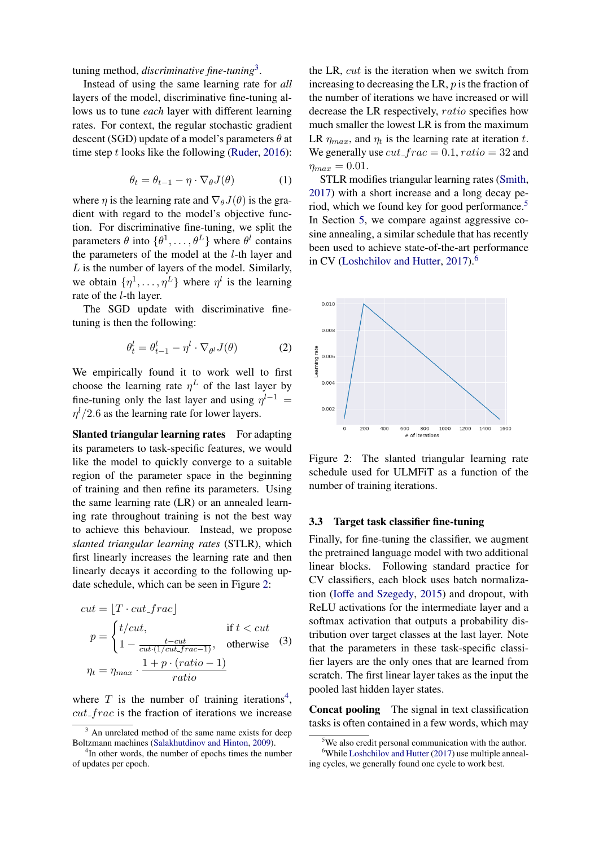tuning method, *discriminative fine-tuning*[3](#page-3-1) .

Instead of using the same learning rate for *all* layers of the model, discriminative fine-tuning allows us to tune *each* layer with different learning rates. For context, the regular stochastic gradient descent (SGD) update of a model's parameters  $\theta$  at time step  $t$  looks like the following [\(Ruder,](#page-10-18) [2016\)](#page-10-18):

$$
\theta_t = \theta_{t-1} - \eta \cdot \nabla_{\theta} J(\theta) \tag{1}
$$

where  $\eta$  is the learning rate and  $\nabla_{\theta}J(\theta)$  is the gradient with regard to the model's objective function. For discriminative fine-tuning, we split the parameters  $\theta$  into  $\{\theta^1, \dots, \theta^L\}$  where  $\theta^l$  contains the parameters of the model at the l-th layer and  $L$  is the number of layers of the model. Similarly, we obtain  $\{\eta^1, \ldots, \eta^L\}$  where  $\eta^l$  is the learning rate of the l-th layer.

The SGD update with discriminative finetuning is then the following:

$$
\theta_t^l = \theta_{t-1}^l - \eta^l \cdot \nabla_{\theta^l} J(\theta) \tag{2}
$$

We empirically found it to work well to first choose the learning rate  $\eta^L$  of the last layer by fine-tuning only the last layer and using  $\eta^{l-1}$  =  $\eta$ <sup>1</sup>/2.6 as the learning rate for lower layers.

Slanted triangular learning rates For adapting its parameters to task-specific features, we would like the model to quickly converge to a suitable region of the parameter space in the beginning of training and then refine its parameters. Using the same learning rate (LR) or an annealed learning rate throughout training is not the best way to achieve this behaviour. Instead, we propose *slanted triangular learning rates* (STLR), which first linearly increases the learning rate and then linearly decays it according to the following update schedule, which can be seen in Figure [2:](#page-3-2)

$$
cut = [T \cdot cut\_frac]
$$
\n
$$
p = \begin{cases} t/cut, & \text{if } t < cut\\ 1 - \frac{t-cut}{cut \cdot (1/cut, frac{-1})}, & \text{otherwise} \end{cases}
$$
\n
$$
\eta_t = \eta_{max} \cdot \frac{1 + p \cdot (ratio - 1)}{ratio}
$$

where  $T$  is the number of training iterations<sup>[4](#page-3-3)</sup>,  $cut\_frac$  is the fraction of iterations we increase the LR, cut is the iteration when we switch from increasing to decreasing the LR,  $p$  is the fraction of the number of iterations we have increased or will decrease the LR respectively, ratio specifies how much smaller the lowest LR is from the maximum LR  $\eta_{max}$ , and  $\eta_t$  is the learning rate at iteration t. We generally use  $cut\_frac = 0.1, ratio = 32$  and  $\eta_{max} = 0.01$ .

STLR modifies triangular learning rates [\(Smith,](#page-11-3) [2017\)](#page-11-3) with a short increase and a long decay pe-riod, which we found key for good performance.<sup>[5](#page-3-4)</sup> In Section [5,](#page-6-0) we compare against aggressive cosine annealing, a similar schedule that has recently been used to achieve state-of-the-art performance in CV [\(Loshchilov and Hutter,](#page-10-20) [2017\)](#page-10-20).[6](#page-3-5)

<span id="page-3-2"></span>

Figure 2: The slanted triangular learning rate schedule used for ULMFiT as a function of the number of training iterations.

## <span id="page-3-0"></span>3.3 Target task classifier fine-tuning

Finally, for fine-tuning the classifier, we augment the pretrained language model with two additional linear blocks. Following standard practice for CV classifiers, each block uses batch normalization [\(Ioffe and Szegedy,](#page-9-17) [2015\)](#page-9-17) and dropout, with ReLU activations for the intermediate layer and a softmax activation that outputs a probability distribution over target classes at the last layer. Note that the parameters in these task-specific classifier layers are the only ones that are learned from scratch. The first linear layer takes as the input the pooled last hidden layer states.

Concat pooling The signal in text classification tasks is often contained in a few words, which may

<span id="page-3-1"></span><sup>&</sup>lt;sup>3</sup> An unrelated method of the same name exists for deep Boltzmann machines [\(Salakhutdinov and Hinton,](#page-10-19) [2009\)](#page-10-19).

<span id="page-3-3"></span><sup>&</sup>lt;sup>4</sup>In other words, the number of epochs times the number of updates per epoch.

<span id="page-3-5"></span><span id="page-3-4"></span><sup>&</sup>lt;sup>5</sup>We also credit personal communication with the author.

 $6$ While [Loshchilov and Hutter](#page-10-20) [\(2017\)](#page-10-20) use multiple annealing cycles, we generally found one cycle to work best.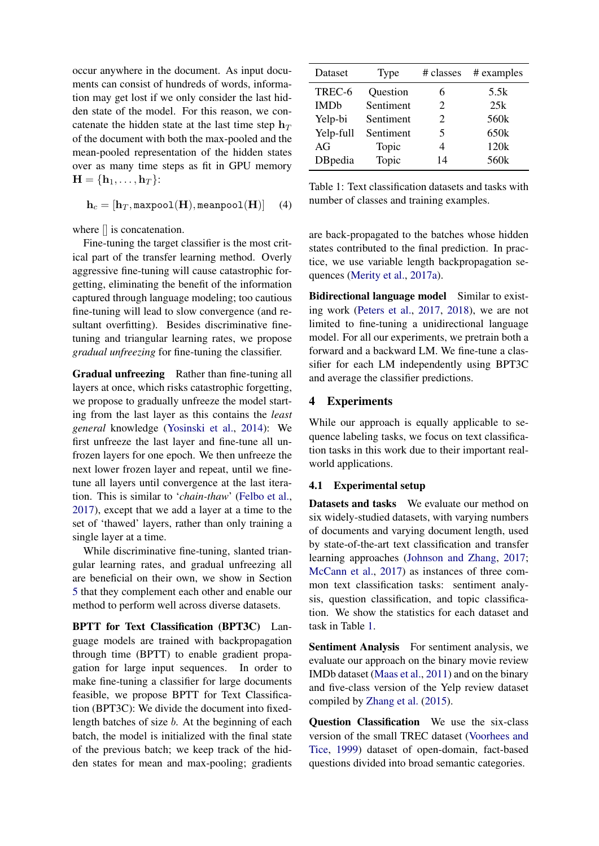occur anywhere in the document. As input documents can consist of hundreds of words, information may get lost if we only consider the last hidden state of the model. For this reason, we concatenate the hidden state at the last time step  $h_T$ of the document with both the max-pooled and the mean-pooled representation of the hidden states over as many time steps as fit in GPU memory  $H = \{h_1, \ldots, h_T\}$ :

$$
\mathbf{h}_c = [\mathbf{h}_T, \texttt{maxpool}(\mathbf{H}), \texttt{meanpool}(\mathbf{H})] \quad (4)
$$

where [] is concatenation.

Fine-tuning the target classifier is the most critical part of the transfer learning method. Overly aggressive fine-tuning will cause catastrophic forgetting, eliminating the benefit of the information captured through language modeling; too cautious fine-tuning will lead to slow convergence (and resultant overfitting). Besides discriminative finetuning and triangular learning rates, we propose *gradual unfreezing* for fine-tuning the classifier.

Gradual unfreezing Rather than fine-tuning all layers at once, which risks catastrophic forgetting, we propose to gradually unfreeze the model starting from the last layer as this contains the *least general* knowledge [\(Yosinski et al.,](#page-11-0) [2014\)](#page-11-0): We first unfreeze the last layer and fine-tune all unfrozen layers for one epoch. We then unfreeze the next lower frozen layer and repeat, until we finetune all layers until convergence at the last iteration. This is similar to '*chain-thaw*' [\(Felbo et al.,](#page-9-18) [2017\)](#page-9-18), except that we add a layer at a time to the set of 'thawed' layers, rather than only training a single layer at a time.

While discriminative fine-tuning, slanted triangular learning rates, and gradual unfreezing all are beneficial on their own, we show in Section [5](#page-6-0) that they complement each other and enable our method to perform well across diverse datasets.

BPTT for Text Classification (BPT3C) Language models are trained with backpropagation through time (BPTT) to enable gradient propagation for large input sequences. In order to make fine-tuning a classifier for large documents feasible, we propose BPTT for Text Classification (BPT3C): We divide the document into fixedlength batches of size b. At the beginning of each batch, the model is initialized with the final state of the previous batch; we keep track of the hidden states for mean and max-pooling; gradients

<span id="page-4-0"></span>

| Dataset     | <b>Type</b> | # classes                   | # examples       |
|-------------|-------------|-----------------------------|------------------|
| TREC-6      | Question    | 6                           | 5.5k             |
| <b>IMDb</b> | Sentiment   | $\mathcal{D}_{\mathcal{L}}$ | 25k              |
| Yelp-bi     | Sentiment   | $\mathcal{D}_{\mathcal{L}}$ | 560 <sub>k</sub> |
| Yelp-full   | Sentiment   | 5                           | 650k             |
| AG          | Topic       | 4                           | 120k             |
| DBpedia     | Topic       | 14                          | 560 <sub>k</sub> |

Table 1: Text classification datasets and tasks with number of classes and training examples.

are back-propagated to the batches whose hidden states contributed to the final prediction. In practice, we use variable length backpropagation sequences [\(Merity et al.,](#page-10-16) [2017a\)](#page-10-16).

Bidirectional language model Similar to existing work [\(Peters et al.,](#page-10-5) [2017,](#page-10-5) [2018\)](#page-10-7), we are not limited to fine-tuning a unidirectional language model. For all our experiments, we pretrain both a forward and a backward LM. We fine-tune a classifier for each LM independently using BPT3C and average the classifier predictions.

## 4 Experiments

While our approach is equally applicable to sequence labeling tasks, we focus on text classification tasks in this work due to their important realworld applications.

#### 4.1 Experimental setup

Datasets and tasks We evaluate our method on six widely-studied datasets, with varying numbers of documents and varying document length, used by state-of-the-art text classification and transfer learning approaches [\(Johnson and Zhang,](#page-9-19) [2017;](#page-9-19) [McCann et al.,](#page-10-6) [2017\)](#page-10-6) as instances of three common text classification tasks: sentiment analysis, question classification, and topic classification. We show the statistics for each dataset and task in Table [1.](#page-4-0)

Sentiment Analysis For sentiment analysis, we evaluate our approach on the binary movie review IMDb dataset [\(Maas et al.,](#page-10-21) [2011\)](#page-10-21) and on the binary and five-class version of the Yelp review dataset compiled by [Zhang et al.](#page-11-4) [\(2015\)](#page-11-4).

Question Classification We use the six-class version of the small TREC dataset [\(Voorhees and](#page-11-5) [Tice,](#page-11-5) [1999\)](#page-11-5) dataset of open-domain, fact-based questions divided into broad semantic categories.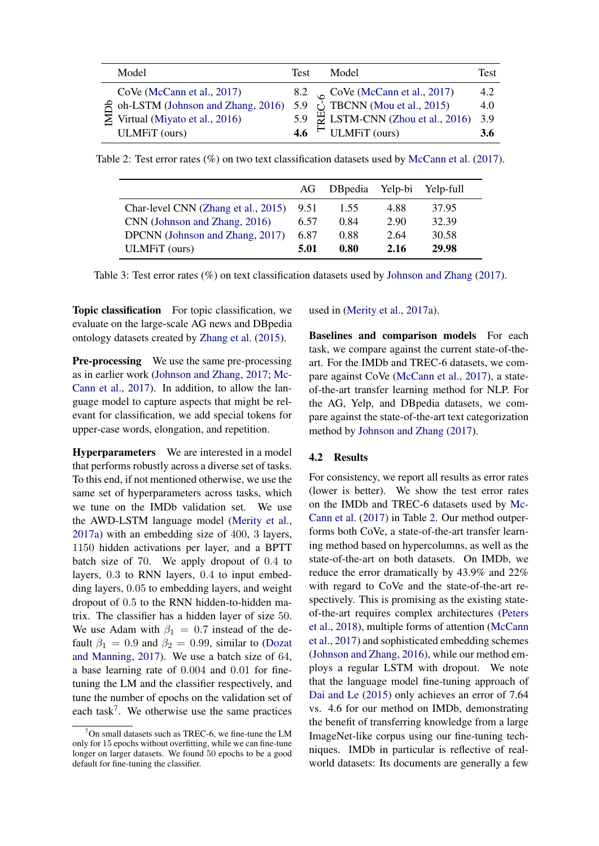<span id="page-5-1"></span>

| Model                                       | Test          | Model                                                           | Test |
|---------------------------------------------|---------------|-----------------------------------------------------------------|------|
| CoVe (McCann et al., 2017)                  |               | 8.2 $\circ$ CoVe (McCann et al., 2017)                          | 4.2  |
| $\approx$ oh-LSTM (Johnson and Zhang, 2016) |               | 5.9 $\overrightarrow{Q}$ TBCNN (Mou et al., 2015)               | 4.0  |
| $\geq$ Virtual (Miyato et al., 2016)        |               | 5.9 $\stackrel{\text{H}}{\approx}$ LSTM-CNN (Zhou et al., 2016) | 3.9  |
| <b>ULMFiT</b> (ours)                        | $4.6^{\circ}$ | ULMFiT (ours)                                                   | 3.6  |

<span id="page-5-2"></span>Table 2: Test error rates (%) on two text classification datasets used by [McCann et al.](#page-10-6) [\(2017\)](#page-10-6).

|                                     | AG   | DB pedia Yelp-bi |      | Yelp-full |
|-------------------------------------|------|------------------|------|-----------|
| Char-level CNN (Zhang et al., 2015) | 9.51 | 1.55             | 4.88 | 37.95     |
| CNN (Johnson and Zhang, 2016)       |      | 0.84             | 2.90 | 32.39     |
| DPCNN (Johnson and Zhang, 2017)     | 6.87 | 0.88             | 2.64 | 30.58     |
| ULMFiT (ours)                       | 5.01 | 0.80             | 2.16 | 29.98     |

Table 3: Test error rates (%) on text classification datasets used by [Johnson and Zhang](#page-9-19) [\(2017\)](#page-9-19).

Topic classification For topic classification, we evaluate on the large-scale AG news and DBpedia ontology datasets created by [Zhang et al.](#page-11-4) [\(2015\)](#page-11-4).

Pre-processing We use the same pre-processing as in earlier work [\(Johnson and Zhang,](#page-9-19) [2017;](#page-9-19) [Mc-](#page-10-6)[Cann et al.,](#page-10-6) [2017\)](#page-10-6). In addition, to allow the language model to capture aspects that might be relevant for classification, we add special tokens for upper-case words, elongation, and repetition.

Hyperparameters We are interested in a model that performs robustly across a diverse set of tasks. To this end, if not mentioned otherwise, we use the same set of hyperparameters across tasks, which we tune on the IMDb validation set. We use the AWD-LSTM language model [\(Merity et al.,](#page-10-16) [2017a\)](#page-10-16) with an embedding size of 400, 3 layers, 1150 hidden activations per layer, and a BPTT batch size of 70. We apply dropout of 0.4 to layers, 0.3 to RNN layers, 0.4 to input embedding layers, 0.05 to embedding layers, and weight dropout of 0.5 to the RNN hidden-to-hidden matrix. The classifier has a hidden layer of size 50. We use Adam with  $\beta_1 = 0.7$  instead of the default  $\beta_1 = 0.9$  and  $\beta_2 = 0.99$ , similar to [\(Dozat](#page-9-21) [and Manning,](#page-9-21) [2017\)](#page-9-21). We use a batch size of 64, a base learning rate of 0.004 and 0.01 for finetuning the LM and the classifier respectively, and tune the number of epochs on the validation set of each task<sup>[7](#page-5-0)</sup>. We otherwise use the same practices

used in [\(Merity et al.,](#page-10-16) [2017a\)](#page-10-16).

Baselines and comparison models For each task, we compare against the current state-of-theart. For the IMDb and TREC-6 datasets, we compare against CoVe [\(McCann et al.,](#page-10-6) [2017\)](#page-10-6), a stateof-the-art transfer learning method for NLP. For the AG, Yelp, and DBpedia datasets, we compare against the state-of-the-art text categorization method by [Johnson and Zhang](#page-9-19) [\(2017\)](#page-9-19).

## 4.2 Results

For consistency, we report all results as error rates (lower is better). We show the test error rates on the IMDb and TREC-6 datasets used by [Mc-](#page-10-6)[Cann et al.](#page-10-6) [\(2017\)](#page-10-6) in Table [2.](#page-5-1) Our method outperforms both CoVe, a state-of-the-art transfer learning method based on hypercolumns, as well as the state-of-the-art on both datasets. On IMDb, we reduce the error dramatically by 43.9% and 22% with regard to CoVe and the state-of-the-art respectively. This is promising as the existing stateof-the-art requires complex architectures [\(Peters](#page-10-7) [et al.,](#page-10-7) [2018\)](#page-10-7), multiple forms of attention [\(McCann](#page-10-6) [et al.,](#page-10-6) [2017\)](#page-10-6) and sophisticated embedding schemes [\(Johnson and Zhang,](#page-9-20) [2016\)](#page-9-20), while our method employs a regular LSTM with dropout. We note that the language model fine-tuning approach of [Dai and Le](#page-9-7) [\(2015\)](#page-9-7) only achieves an error of 7.64 vs. 4.6 for our method on IMDb, demonstrating the benefit of transferring knowledge from a large ImageNet-like corpus using our fine-tuning techniques. IMDb in particular is reflective of realworld datasets: Its documents are generally a few

<span id="page-5-0"></span> $7$ On small datasets such as TREC-6, we fine-tune the LM only for 15 epochs without overfitting, while we can fine-tune longer on larger datasets. We found 50 epochs to be a good default for fine-tuning the classifier.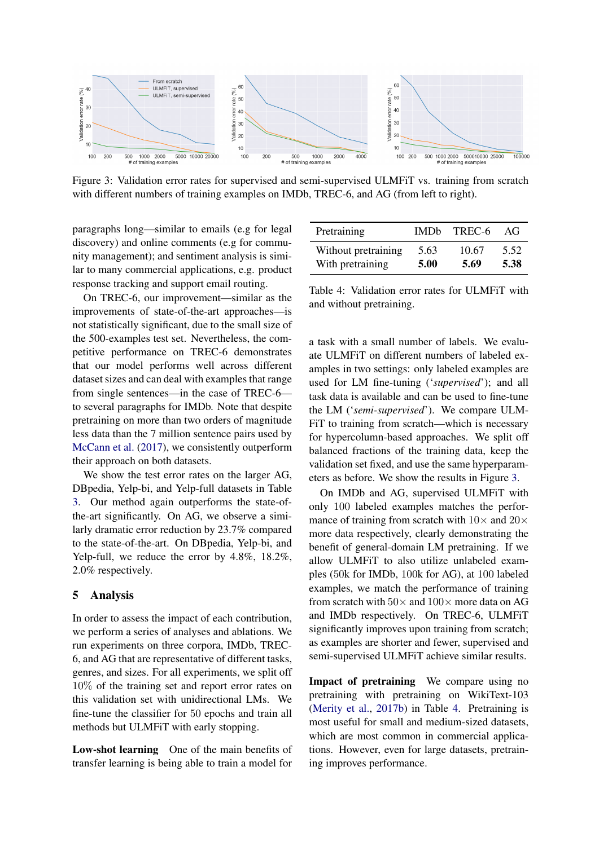<span id="page-6-1"></span>

Figure 3: Validation error rates for supervised and semi-supervised ULMFiT vs. training from scratch with different numbers of training examples on IMDb, TREC-6, and AG (from left to right).

paragraphs long—similar to emails (e.g for legal discovery) and online comments (e.g for community management); and sentiment analysis is similar to many commercial applications, e.g. product response tracking and support email routing.

On TREC-6, our improvement—similar as the improvements of state-of-the-art approaches—is not statistically significant, due to the small size of the 500-examples test set. Nevertheless, the competitive performance on TREC-6 demonstrates that our model performs well across different dataset sizes and can deal with examples that range from single sentences—in the case of TREC-6 to several paragraphs for IMDb. Note that despite pretraining on more than two orders of magnitude less data than the 7 million sentence pairs used by [McCann et al.](#page-10-6) [\(2017\)](#page-10-6), we consistently outperform their approach on both datasets.

We show the test error rates on the larger AG, DBpedia, Yelp-bi, and Yelp-full datasets in Table [3.](#page-5-2) Our method again outperforms the state-ofthe-art significantly. On AG, we observe a similarly dramatic error reduction by 23.7% compared to the state-of-the-art. On DBpedia, Yelp-bi, and Yelp-full, we reduce the error by 4.8%, 18.2%, 2.0% respectively.

## <span id="page-6-0"></span>5 Analysis

In order to assess the impact of each contribution, we perform a series of analyses and ablations. We run experiments on three corpora, IMDb, TREC-6, and AG that are representative of different tasks, genres, and sizes. For all experiments, we split off 10% of the training set and report error rates on this validation set with unidirectional LMs. We fine-tune the classifier for 50 epochs and train all methods but ULMFiT with early stopping.

Low-shot learning One of the main benefits of transfer learning is being able to train a model for

<span id="page-6-2"></span>

| Pretraining         | <b>IMDb</b> | TREC-6 | $A$ $\ddot{t}$ |
|---------------------|-------------|--------|----------------|
| Without pretraining | 5.63        | 10.67  | 5.52           |
| With pretraining    | 5.00        | 5.69   | 5.38           |

Table 4: Validation error rates for ULMFiT with and without pretraining.

a task with a small number of labels. We evaluate ULMFiT on different numbers of labeled examples in two settings: only labeled examples are used for LM fine-tuning ('*supervised*'); and all task data is available and can be used to fine-tune the LM ('*semi-supervised*'). We compare ULM-FiT to training from scratch—which is necessary for hypercolumn-based approaches. We split off balanced fractions of the training data, keep the validation set fixed, and use the same hyperparameters as before. We show the results in Figure [3.](#page-6-1)

On IMDb and AG, supervised ULMFiT with only 100 labeled examples matches the performance of training from scratch with  $10\times$  and  $20\times$ more data respectively, clearly demonstrating the benefit of general-domain LM pretraining. If we allow ULMFiT to also utilize unlabeled examples (50k for IMDb, 100k for AG), at 100 labeled examples, we match the performance of training from scratch with  $50\times$  and  $100\times$  more data on AG and IMDb respectively. On TREC-6, ULMFiT significantly improves upon training from scratch; as examples are shorter and fewer, supervised and semi-supervised ULMFiT achieve similar results.

Impact of pretraining We compare using no pretraining with pretraining on WikiText-103 [\(Merity et al.,](#page-10-17) [2017b\)](#page-10-17) in Table [4.](#page-6-2) Pretraining is most useful for small and medium-sized datasets, which are most common in commercial applications. However, even for large datasets, pretraining improves performance.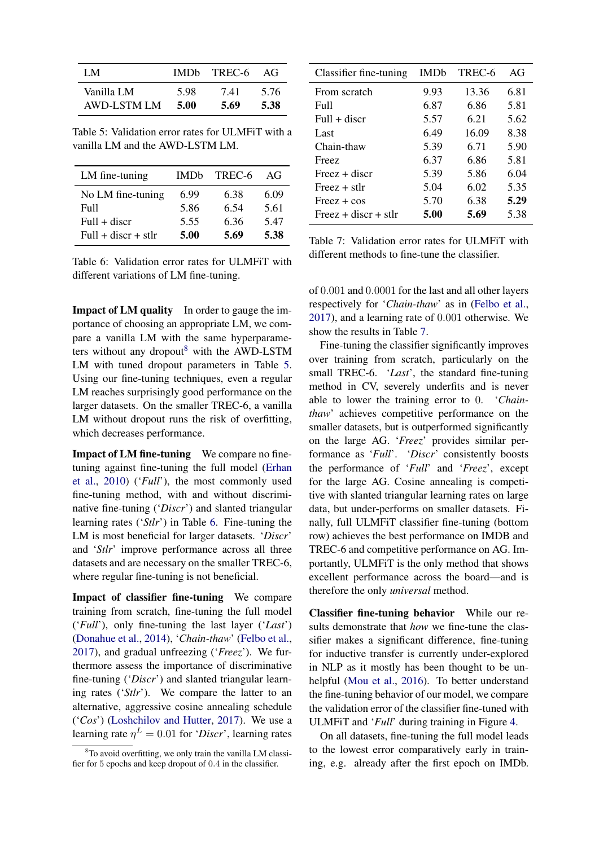<span id="page-7-1"></span>

| I M         |      | IMDb TREC-6 | $A$ $\ddot{t}$ |
|-------------|------|-------------|----------------|
| Vanilla LM  | 5.98 | 7.41        | 5.76           |
| AWD-LSTM LM | 5.00 | 5.69        | 5.38           |

Table 5: Validation error rates for ULMFiT with a vanilla LM and the AWD-LSTM LM.

<span id="page-7-2"></span>

| LM fine-tuning        | <b>IMDb</b> | TREC-6 | $A$ $\ddot{I}$ |
|-----------------------|-------------|--------|----------------|
| No LM fine-tuning     | 6.99        | 6.38   | 6.09           |
| Full                  | 5.86        | 6.54   | 5.61           |
| $Full + discr$        | 5.55        | 6.36   | 5.47           |
| $Full + discr + stlr$ | 5.00        | 5.69   | 5.38           |

Table 6: Validation error rates for ULMFiT with different variations of LM fine-tuning.

Impact of LM quality In order to gauge the importance of choosing an appropriate LM, we compare a vanilla LM with the same hyperparameters without any dropout $8$  with the AWD-LSTM LM with tuned dropout parameters in Table [5.](#page-7-1) Using our fine-tuning techniques, even a regular LM reaches surprisingly good performance on the larger datasets. On the smaller TREC-6, a vanilla LM without dropout runs the risk of overfitting, which decreases performance.

Impact of LM fine-tuning We compare no finetuning against fine-tuning the full model [\(Erhan](#page-9-6) [et al.,](#page-9-6) [2010\)](#page-9-6) ('*Full*'), the most commonly used fine-tuning method, with and without discriminative fine-tuning ('*Discr*') and slanted triangular learning rates ('*Stlr*') in Table [6.](#page-7-2) Fine-tuning the LM is most beneficial for larger datasets. '*Discr*' and '*Stlr*' improve performance across all three datasets and are necessary on the smaller TREC-6, where regular fine-tuning is not beneficial.

Impact of classifier fine-tuning We compare training from scratch, fine-tuning the full model ('*Full*'), only fine-tuning the last layer ('*Last*') [\(Donahue et al.,](#page-9-8) [2014\)](#page-9-8), '*Chain-thaw*' [\(Felbo et al.,](#page-9-18) [2017\)](#page-9-18), and gradual unfreezing ('*Freez*'). We furthermore assess the importance of discriminative fine-tuning ('*Discr*') and slanted triangular learning rates ('*Stlr*'). We compare the latter to an alternative, aggressive cosine annealing schedule ('*Cos*') [\(Loshchilov and Hutter,](#page-10-20) [2017\)](#page-10-20). We use a learning rate  $\eta^L = 0.01$  for '*Discr*', learning rates

<span id="page-7-3"></span>

| Classifier fine-tuning | <b>IMDb</b> | TREC-6 | AG   |
|------------------------|-------------|--------|------|
| From scratch           | 9.93        | 13.36  | 6.81 |
| Full                   | 6.87        | 6.86   | 5.81 |
| $Full + discr$         | 5.57        | 6.21   | 5.62 |
| Last                   | 6.49        | 16.09  | 8.38 |
| Chain-thaw             | 5.39        | 6.71   | 5.90 |
| Freez                  | 6.37        | 6.86   | 5.81 |
| $Freez + discr$        | 5.39        | 5.86   | 6.04 |
| $Freez + stlr$         | 5.04        | 6.02   | 5.35 |
| $Freez + cos$          | 5.70        | 6.38   | 5.29 |
| $Freez + discr + str$  | 5.00        | 5.69   | 5.38 |

Table 7: Validation error rates for ULMFiT with different methods to fine-tune the classifier.

of 0.001 and 0.0001 for the last and all other layers respectively for '*Chain-thaw*' as in [\(Felbo et al.,](#page-9-18) [2017\)](#page-9-18), and a learning rate of 0.001 otherwise. We show the results in Table [7.](#page-7-3)

Fine-tuning the classifier significantly improves over training from scratch, particularly on the small TREC-6. '*Last*', the standard fine-tuning method in CV, severely underfits and is never able to lower the training error to 0. '*Chainthaw*' achieves competitive performance on the smaller datasets, but is outperformed significantly on the large AG. '*Freez*' provides similar performance as '*Full*'. '*Discr*' consistently boosts the performance of '*Full*' and '*Freez*', except for the large AG. Cosine annealing is competitive with slanted triangular learning rates on large data, but under-performs on smaller datasets. Finally, full ULMFiT classifier fine-tuning (bottom row) achieves the best performance on IMDB and TREC-6 and competitive performance on AG. Importantly, ULMFiT is the only method that shows excellent performance across the board—and is therefore the only *universal* method.

Classifier fine-tuning behavior While our results demonstrate that *how* we fine-tune the classifier makes a significant difference, fine-tuning for inductive transfer is currently under-explored in NLP as it mostly has been thought to be unhelpful [\(Mou et al.,](#page-10-8) [2016\)](#page-10-8). To better understand the fine-tuning behavior of our model, we compare the validation error of the classifier fine-tuned with ULMFiT and '*Full*' during training in Figure [4.](#page-8-0)

On all datasets, fine-tuning the full model leads to the lowest error comparatively early in training, e.g. already after the first epoch on IMDb.

<span id="page-7-0"></span> $8$ To avoid overfitting, we only train the vanilla LM classifier for 5 epochs and keep dropout of 0.4 in the classifier.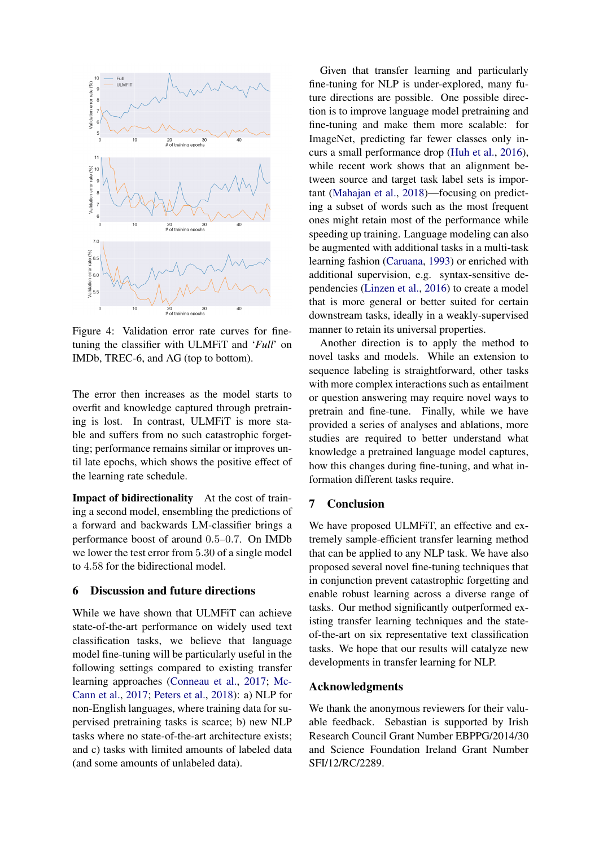<span id="page-8-0"></span>

Figure 4: Validation error rate curves for finetuning the classifier with ULMFiT and '*Full*' on IMDb, TREC-6, and AG (top to bottom).

The error then increases as the model starts to overfit and knowledge captured through pretraining is lost. In contrast, ULMFiT is more stable and suffers from no such catastrophic forgetting; performance remains similar or improves until late epochs, which shows the positive effect of the learning rate schedule.

Impact of bidirectionality At the cost of training a second model, ensembling the predictions of a forward and backwards LM-classifier brings a performance boost of around 0.5–0.7. On IMDb we lower the test error from 5.30 of a single model to 4.58 for the bidirectional model.

## 6 Discussion and future directions

While we have shown that ULMFiT can achieve state-of-the-art performance on widely used text classification tasks, we believe that language model fine-tuning will be particularly useful in the following settings compared to existing transfer learning approaches [\(Conneau et al.,](#page-9-10) [2017;](#page-9-10) [Mc-](#page-10-6)[Cann et al.,](#page-10-6) [2017;](#page-10-6) [Peters et al.,](#page-10-7) [2018\)](#page-10-7): a) NLP for non-English languages, where training data for supervised pretraining tasks is scarce; b) new NLP tasks where no state-of-the-art architecture exists; and c) tasks with limited amounts of labeled data (and some amounts of unlabeled data).

Given that transfer learning and particularly fine-tuning for NLP is under-explored, many future directions are possible. One possible direction is to improve language model pretraining and fine-tuning and make them more scalable: for ImageNet, predicting far fewer classes only incurs a small performance drop [\(Huh et al.,](#page-9-22) [2016\)](#page-9-22), while recent work shows that an alignment between source and target task label sets is important [\(Mahajan et al.,](#page-10-24) [2018\)](#page-10-24)—focusing on predicting a subset of words such as the most frequent ones might retain most of the performance while speeding up training. Language modeling can also be augmented with additional tasks in a multi-task learning fashion [\(Caruana,](#page-9-11) [1993\)](#page-9-11) or enriched with additional supervision, e.g. syntax-sensitive dependencies [\(Linzen et al.,](#page-9-14) [2016\)](#page-9-14) to create a model that is more general or better suited for certain downstream tasks, ideally in a weakly-supervised manner to retain its universal properties.

Another direction is to apply the method to novel tasks and models. While an extension to sequence labeling is straightforward, other tasks with more complex interactions such as entailment or question answering may require novel ways to pretrain and fine-tune. Finally, while we have provided a series of analyses and ablations, more studies are required to better understand what knowledge a pretrained language model captures, how this changes during fine-tuning, and what information different tasks require.

# 7 Conclusion

We have proposed ULMFiT, an effective and extremely sample-efficient transfer learning method that can be applied to any NLP task. We have also proposed several novel fine-tuning techniques that in conjunction prevent catastrophic forgetting and enable robust learning across a diverse range of tasks. Our method significantly outperformed existing transfer learning techniques and the stateof-the-art on six representative text classification tasks. We hope that our results will catalyze new developments in transfer learning for NLP.

## Acknowledgments

We thank the anonymous reviewers for their valuable feedback. Sebastian is supported by Irish Research Council Grant Number EBPPG/2014/30 and Science Foundation Ireland Grant Number SFI/12/RC/2289.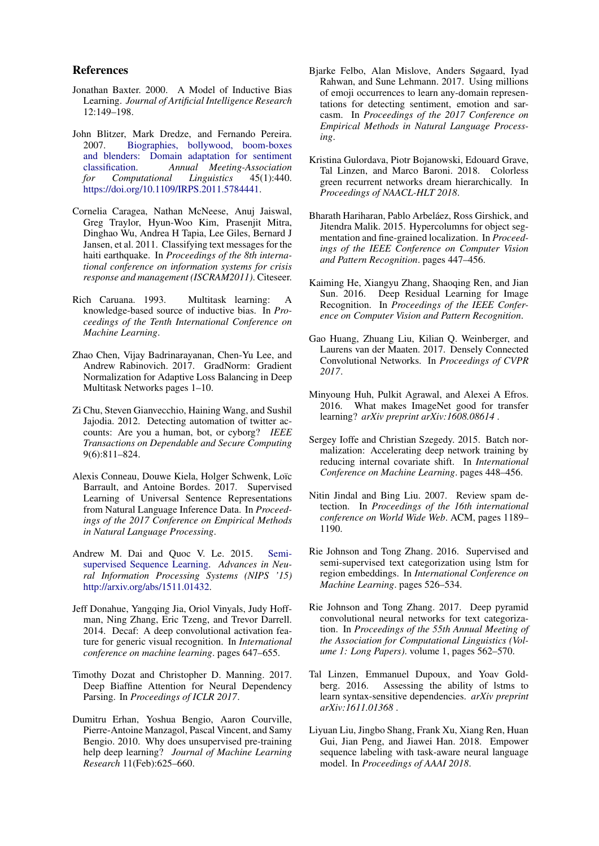### References

- <span id="page-9-16"></span>Jonathan Baxter. 2000. A Model of Inductive Bias Learning. *Journal of Artificial Intelligence Research* 12:149–198.
- <span id="page-9-5"></span>John Blitzer, Mark Dredze, and Fernando Pereira. 2007. [Biographies, bollywood, boom-boxes](https://doi.org/10.1109/IRPS.2011.5784441) [and blenders: Domain adaptation for sentiment](https://doi.org/10.1109/IRPS.2011.5784441) [classification.](https://doi.org/10.1109/IRPS.2011.5784441) *Annual Meeting-Association for Computational* [https://doi.org/10.1109/IRPS.2011.5784441.](https://doi.org/10.1109/IRPS.2011.5784441)
- <span id="page-9-4"></span>Cornelia Caragea, Nathan McNeese, Anuj Jaiswal, Greg Traylor, Hyun-Woo Kim, Prasenjit Mitra, Dinghao Wu, Andrea H Tapia, Lee Giles, Bernard J Jansen, et al. 2011. Classifying text messages for the haiti earthquake. In *Proceedings of the 8th international conference on information systems for crisis response and management (ISCRAM2011)*. Citeseer.
- <span id="page-9-11"></span>Rich Caruana. 1993. Multitask learning: A knowledge-based source of inductive bias. In *Proceedings of the Tenth International Conference on Machine Learning*.
- <span id="page-9-13"></span>Zhao Chen, Vijay Badrinarayanan, Chen-Yu Lee, and Andrew Rabinovich. 2017. GradNorm: Gradient Normalization for Adaptive Loss Balancing in Deep Multitask Networks pages 1–10.
- <span id="page-9-3"></span>Zi Chu, Steven Gianvecchio, Haining Wang, and Sushil Jajodia. 2012. Detecting automation of twitter accounts: Are you a human, bot, or cyborg? *IEEE Transactions on Dependable and Secure Computing* 9(6):811–824.
- <span id="page-9-10"></span>Alexis Conneau, Douwe Kiela, Holger Schwenk, Loïc Barrault, and Antoine Bordes. 2017. Supervised Learning of Universal Sentence Representations from Natural Language Inference Data. In *Proceedings of the 2017 Conference on Empirical Methods in Natural Language Processing*.
- <span id="page-9-7"></span>Andrew M. Dai and Quoc V. Le. 2015. [Semi](http://arxiv.org/abs/1511.01432)[supervised Sequence Learning.](http://arxiv.org/abs/1511.01432) *Advances in Neural Information Processing Systems (NIPS '15)* [http://arxiv.org/abs/1511.01432.](http://arxiv.org/abs/1511.01432)
- <span id="page-9-8"></span>Jeff Donahue, Yangqing Jia, Oriol Vinyals, Judy Hoffman, Ning Zhang, Eric Tzeng, and Trevor Darrell. 2014. Decaf: A deep convolutional activation feature for generic visual recognition. In *International conference on machine learning*. pages 647–655.
- <span id="page-9-21"></span>Timothy Dozat and Christopher D. Manning. 2017. Deep Biaffine Attention for Neural Dependency Parsing. In *Proceedings of ICLR 2017*.
- <span id="page-9-6"></span>Dumitru Erhan, Yoshua Bengio, Aaron Courville, Pierre-Antoine Manzagol, Pascal Vincent, and Samy Bengio. 2010. Why does unsupervised pre-training help deep learning? *Journal of Machine Learning Research* 11(Feb):625–660.
- <span id="page-9-18"></span>Bjarke Felbo, Alan Mislove, Anders Søgaard, Iyad Rahwan, and Sune Lehmann. 2017. Using millions of emoji occurrences to learn any-domain representations for detecting sentiment, emotion and sarcasm. In *Proceedings of the 2017 Conference on Empirical Methods in Natural Language Processing*.
- <span id="page-9-15"></span>Kristina Gulordava, Piotr Bojanowski, Edouard Grave, Tal Linzen, and Marco Baroni. 2018. Colorless green recurrent networks dream hierarchically. In *Proceedings of NAACL-HLT 2018*.
- <span id="page-9-9"></span>Bharath Hariharan, Pablo Arbeláez, Ross Girshick, and Jitendra Malik. 2015. Hypercolumns for object segmentation and fine-grained localization. In *Proceedings of the IEEE Conference on Computer Vision and Pattern Recognition*. pages 447–456.
- <span id="page-9-0"></span>Kaiming He, Xiangyu Zhang, Shaoqing Ren, and Jian Sun. 2016. Deep Residual Learning for Image Recognition. In *Proceedings of the IEEE Conference on Computer Vision and Pattern Recognition*.
- <span id="page-9-1"></span>Gao Huang, Zhuang Liu, Kilian Q. Weinberger, and Laurens van der Maaten. 2017. Densely Connected Convolutional Networks. In *Proceedings of CVPR 2017*.
- <span id="page-9-22"></span>Minyoung Huh, Pulkit Agrawal, and Alexei A Efros. 2016. What makes ImageNet good for transfer learning? *arXiv preprint arXiv:1608.08614* .
- <span id="page-9-17"></span>Sergey Ioffe and Christian Szegedy. 2015. Batch normalization: Accelerating deep network training by reducing internal covariate shift. In *International Conference on Machine Learning*. pages 448–456.
- <span id="page-9-2"></span>Nitin Jindal and Bing Liu. 2007. Review spam detection. In *Proceedings of the 16th international conference on World Wide Web*. ACM, pages 1189– 1190.
- <span id="page-9-20"></span>Rie Johnson and Tong Zhang. 2016. Supervised and semi-supervised text categorization using lstm for region embeddings. In *International Conference on Machine Learning*. pages 526–534.
- <span id="page-9-19"></span>Rie Johnson and Tong Zhang. 2017. Deep pyramid convolutional neural networks for text categorization. In *Proceedings of the 55th Annual Meeting of the Association for Computational Linguistics (Volume 1: Long Papers)*. volume 1, pages 562–570.
- <span id="page-9-14"></span>Tal Linzen, Emmanuel Dupoux, and Yoav Goldberg. 2016. Assessing the ability of lstms to learn syntax-sensitive dependencies. *arXiv preprint arXiv:1611.01368* .
- <span id="page-9-12"></span>Liyuan Liu, Jingbo Shang, Frank Xu, Xiang Ren, Huan Gui, Jian Peng, and Jiawei Han. 2018. Empower sequence labeling with task-aware neural language model. In *Proceedings of AAAI 2018*.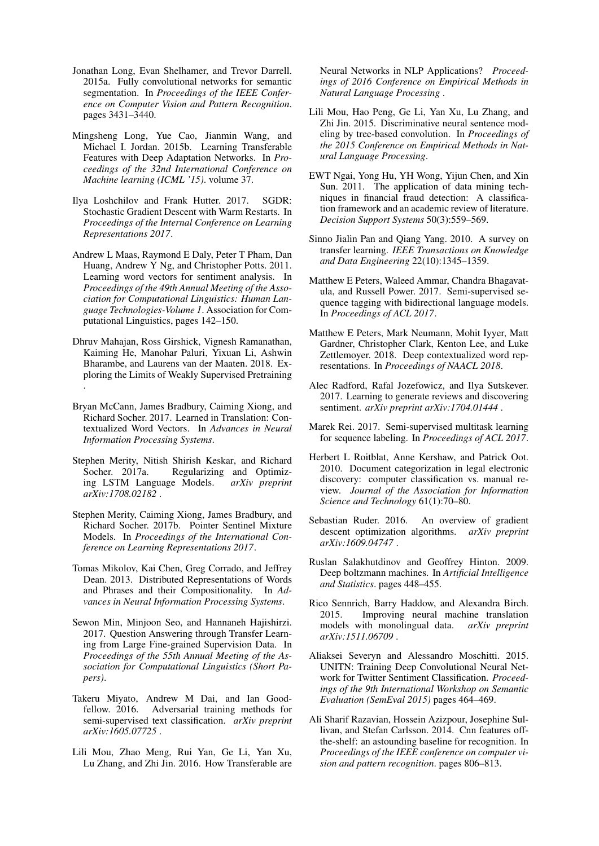- <span id="page-10-1"></span>Jonathan Long, Evan Shelhamer, and Trevor Darrell. 2015a. Fully convolutional networks for semantic segmentation. In *Proceedings of the IEEE Conference on Computer Vision and Pattern Recognition*. pages 3431–3440.
- <span id="page-10-9"></span>Mingsheng Long, Yue Cao, Jianmin Wang, and Michael I. Jordan. 2015b. Learning Transferable Features with Deep Adaptation Networks. In *Proceedings of the 32nd International Conference on Machine learning (ICML '15)*. volume 37.
- <span id="page-10-20"></span>Ilya Loshchilov and Frank Hutter. 2017. SGDR: Stochastic Gradient Descent with Warm Restarts. In *Proceedings of the Internal Conference on Learning Representations 2017*.
- <span id="page-10-21"></span>Andrew L Maas, Raymond E Daly, Peter T Pham, Dan Huang, Andrew Y Ng, and Christopher Potts. 2011. Learning word vectors for sentiment analysis. In *Proceedings of the 49th Annual Meeting of the Association for Computational Linguistics: Human Language Technologies-Volume 1*. Association for Computational Linguistics, pages 142–150.
- <span id="page-10-24"></span>Dhruv Mahajan, Ross Girshick, Vignesh Ramanathan, Kaiming He, Manohar Paluri, Yixuan Li, Ashwin Bharambe, and Laurens van der Maaten. 2018. Exploring the Limits of Weakly Supervised Pretraining .
- <span id="page-10-6"></span>Bryan McCann, James Bradbury, Caiming Xiong, and Richard Socher. 2017. Learned in Translation: Contextualized Word Vectors. In *Advances in Neural Information Processing Systems*.
- <span id="page-10-16"></span>Stephen Merity, Nitish Shirish Keskar, and Richard Regularizing and Optimizing LSTM Language Models. *arXiv preprint arXiv:1708.02182* .
- <span id="page-10-17"></span>Stephen Merity, Caiming Xiong, James Bradbury, and Richard Socher. 2017b. Pointer Sentinel Mixture Models. In *Proceedings of the International Conference on Learning Representations 2017*.
- <span id="page-10-4"></span>Tomas Mikolov, Kai Chen, Greg Corrado, and Jeffrey Dean. 2013. Distributed Representations of Words and Phrases and their Compositionality. In *Advances in Neural Information Processing Systems*.
- <span id="page-10-11"></span>Sewon Min, Minjoon Seo, and Hannaneh Hajishirzi. 2017. Question Answering through Transfer Learning from Large Fine-grained Supervision Data. In *Proceedings of the 55th Annual Meeting of the Association for Computational Linguistics (Short Papers)*.
- <span id="page-10-23"></span>Takeru Miyato, Andrew M Dai, and Ian Goodfellow. 2016. Adversarial training methods for semi-supervised text classification. *arXiv preprint arXiv:1605.07725* .
- <span id="page-10-8"></span>Lili Mou, Zhao Meng, Rui Yan, Ge Li, Yan Xu, Lu Zhang, and Zhi Jin. 2016. How Transferable are

Neural Networks in NLP Applications? *Proceedings of 2016 Conference on Empirical Methods in Natural Language Processing* .

- <span id="page-10-22"></span>Lili Mou, Hao Peng, Ge Li, Yan Xu, Lu Zhang, and Zhi Jin. 2015. Discriminative neural sentence modeling by tree-based convolution. In *Proceedings of the 2015 Conference on Empirical Methods in Natural Language Processing*.
- <span id="page-10-2"></span>EWT Ngai, Yong Hu, YH Wong, Yijun Chen, and Xin Sun. 2011. The application of data mining techniques in financial fraud detection: A classification framework and an academic review of literature. *Decision Support Systems* 50(3):559–569.
- <span id="page-10-14"></span>Sinno Jialin Pan and Qiang Yang. 2010. A survey on transfer learning. *IEEE Transactions on Knowledge and Data Engineering* 22(10):1345–1359.
- <span id="page-10-5"></span>Matthew E Peters, Waleed Ammar, Chandra Bhagavatula, and Russell Power. 2017. Semi-supervised sequence tagging with bidirectional language models. In *Proceedings of ACL 2017*.
- <span id="page-10-7"></span>Matthew E Peters, Mark Neumann, Mohit Iyyer, Matt Gardner, Christopher Clark, Kenton Lee, and Luke Zettlemoyer. 2018. Deep contextualized word representations. In *Proceedings of NAACL 2018*.
- <span id="page-10-15"></span>Alec Radford, Rafal Jozefowicz, and Ilya Sutskever. 2017. Learning to generate reviews and discovering sentiment. *arXiv preprint arXiv:1704.01444* .
- <span id="page-10-10"></span>Marek Rei. 2017. Semi-supervised multitask learning for sequence labeling. In *Proceedings of ACL 2017*.
- <span id="page-10-3"></span>Herbert L Roitblat, Anne Kershaw, and Patrick Oot. 2010. Document categorization in legal electronic discovery: computer classification vs. manual review. *Journal of the Association for Information Science and Technology* 61(1):70–80.
- <span id="page-10-18"></span>Sebastian Ruder. 2016. An overview of gradient descent optimization algorithms. *arXiv preprint arXiv:1609.04747* .
- <span id="page-10-19"></span>Ruslan Salakhutdinov and Geoffrey Hinton. 2009. Deep boltzmann machines. In *Artificial Intelligence and Statistics*. pages 448–455.
- <span id="page-10-13"></span>Rico Sennrich, Barry Haddow, and Alexandra Birch. 2015. Improving neural machine translation models with monolingual data. *arXiv preprint arXiv:1511.06709* .
- <span id="page-10-12"></span>Aliaksei Severyn and Alessandro Moschitti. 2015. UNITN: Training Deep Convolutional Neural Network for Twitter Sentiment Classification. *Proceedings of the 9th International Workshop on Semantic Evaluation (SemEval 2015)* pages 464–469.
- <span id="page-10-0"></span>Ali Sharif Razavian, Hossein Azizpour, Josephine Sullivan, and Stefan Carlsson. 2014. Cnn features offthe-shelf: an astounding baseline for recognition. In *Proceedings of the IEEE conference on computer vision and pattern recognition*. pages 806–813.